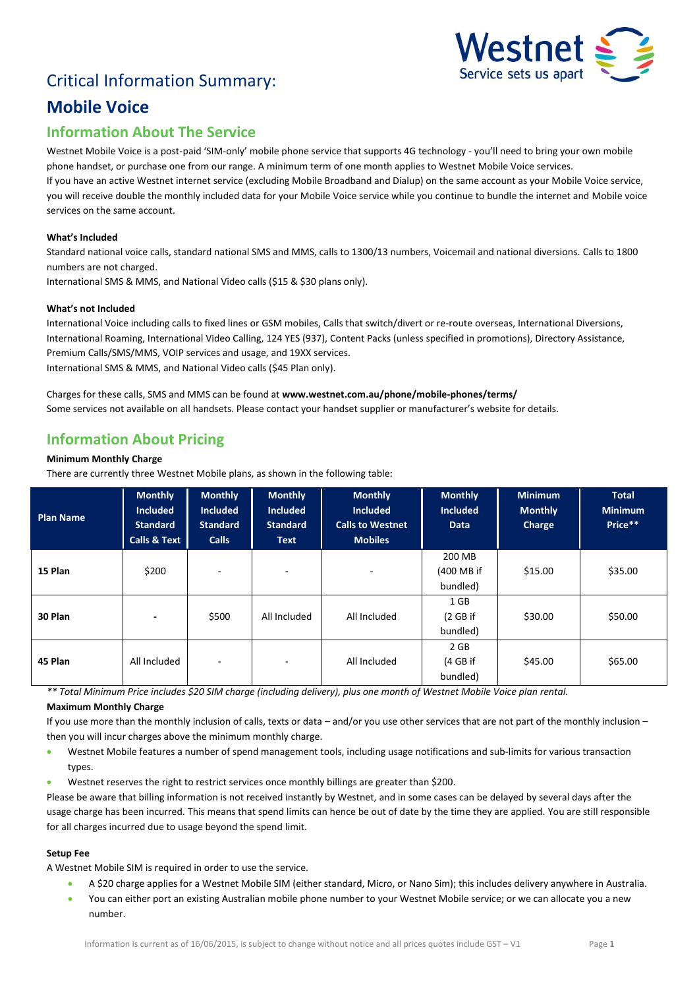# Critical Information Summary:



# **Mobile Voice**

# **Information About The Service**

Westnet Mobile Voice is a post-paid 'SIM-only' mobile phone service that supports 4G technology - you'll need to bring your own mobile phone handset, or purchase one from our range. A minimum term of one month applies to Westnet Mobile Voice services. If you have an active Westnet internet service (excluding Mobile Broadband and Dialup) on the same account as your Mobile Voice service,

you will receive double the monthly included data for your Mobile Voice service while you continue to bundle the internet and Mobile voice services on the same account.

## **What's Included**

Standard national voice calls, standard national SMS and MMS, calls to 1300/13 numbers, Voicemail and national diversions. Calls to 1800 numbers are not charged.

International SMS & MMS, and National Video calls (\$15 & \$30 plans only).

## **What's not Included**

International Voice including calls to fixed lines or GSM mobiles, Calls that switch/divert or re-route overseas, International Diversions, International Roaming, International Video Calling, 124 YES (937), Content Packs (unless specified in promotions), Directory Assistance, Premium Calls/SMS/MMS, VOIP services and usage, and 19XX services. International SMS & MMS, and National Video calls (\$45 Plan only).

Charges for these calls, SMS and MMS can be found at **www.westnet.com.au/phone/mobile-phones/terms/** Some services not available on all handsets. Please contact your handset supplier or manufacturer's website for details.

# **Information About Pricing**

## **Minimum Monthly Charge**

There are currently three Westnet Mobile plans, as shown in the following table:

| <b>Plan Name</b> | <b>Monthly</b><br><b>Included</b><br><b>Standard</b><br><b>Calls &amp; Text</b> | <b>Monthly</b><br><b>Included</b><br><b>Standard</b><br><b>Calls</b> | <b>Monthly</b><br><b>Included</b><br><b>Standard</b><br><b>Text</b> | <b>Monthly</b><br><b>Included</b><br><b>Calls to Westnet</b><br><b>Mobiles</b> | <b>Monthly</b><br><b>Included</b><br><b>Data</b> | <b>Minimum</b><br><b>Monthly</b><br>Charge | <b>Total</b><br><b>Minimum</b><br>Price** |
|------------------|---------------------------------------------------------------------------------|----------------------------------------------------------------------|---------------------------------------------------------------------|--------------------------------------------------------------------------------|--------------------------------------------------|--------------------------------------------|-------------------------------------------|
| 15 Plan          | \$200                                                                           | $\overline{\phantom{0}}$                                             | ۰.                                                                  | ٠                                                                              | 200 MB<br>(400 MB if<br>bundled)                 | \$15.00                                    | \$35.00                                   |
| 30 Plan          | $\overline{\phantom{a}}$                                                        | \$500                                                                | All Included                                                        | All Included                                                                   | 1 GB<br>(2 G <sub>B</sub> )<br>bundled)          | \$30.00                                    | \$50.00                                   |
| 45 Plan          | All Included                                                                    | $\overline{\phantom{0}}$                                             | $\overline{\phantom{0}}$                                            | All Included                                                                   | 2 GB<br>(4 GB if<br>bundled)                     | \$45.00                                    | \$65.00                                   |

*\*\* Total Minimum Price includes \$20 SIM charge (including delivery), plus one month of Westnet Mobile Voice plan rental.*

## **Maximum Monthly Charge**

If you use more than the monthly inclusion of calls, texts or data – and/or you use other services that are not part of the monthly inclusion – then you will incur charges above the minimum monthly charge.

- Westnet Mobile features a number of spend management tools, including usage notifications and sub-limits for various transaction types.
- Westnet reserves the right to restrict services once monthly billings are greater than \$200.

Please be aware that billing information is not received instantly by Westnet, and in some cases can be delayed by several days after the usage charge has been incurred. This means that spend limits can hence be out of date by the time they are applied. You are still responsible for all charges incurred due to usage beyond the spend limit.

#### **Setup Fee**

A Westnet Mobile SIM is required in order to use the service.

- A \$20 charge applies for a Westnet Mobile SIM (either standard, Micro, or Nano Sim); this includes delivery anywhere in Australia.
- You can either port an existing Australian mobile phone number to your Westnet Mobile service; or we can allocate you a new number.